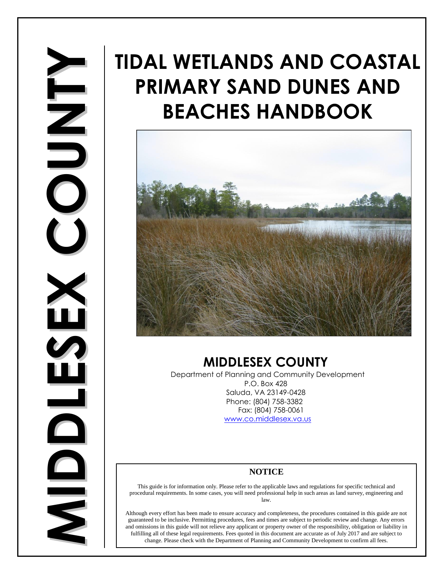# **IDDLESEXCOUN** $\blacksquare$ **Y**

## **TIDAL WETLANDS AND COASTAL PRIMARY SAND DUNES AND BEACHES HANDBOOK**



## **MIDDLESEX COUNTY**

Department of Planning and Community Development P.O. Box 428 Saluda, VA 23149-0428 Phone: (804) 758-3382 Fax: (804) 758-0061 [www.co.middlesex.va.us](http://www.co.middlesex.va.us/)

#### **NOTICE**

This guide is for information only. Please refer to the applicable laws and regulations for specific technical and procedural requirements. In some cases, you will need professional help in such areas as land survey, engineering and law.

Although every effort has been made to ensure accuracy and completeness, the procedures contained in this guide are not guaranteed to be inclusive. Permitting procedures, fees and times are subject to periodic review and change. Any errors and omissions in this guide will not relieve any applicant or property owner of the responsibility, obligation or liability in Although every effort has been made to ensure accuracy and completeness, the procedures contained in this guide are neguaranteed to be inclusive. Permitting procedures, fees and times are subject to periodic review and cha change. Please check with the Department of Planning and Community Development to confirm all fees.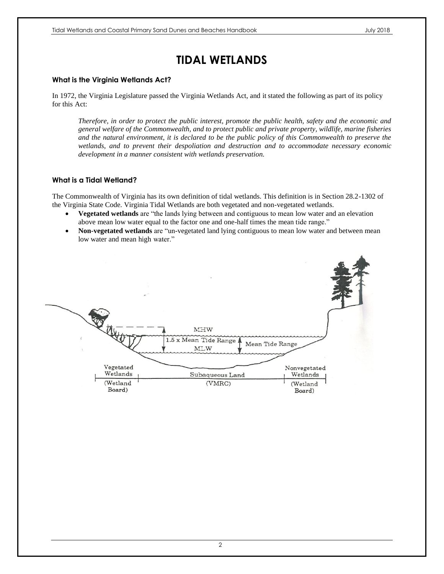## **TIDAL WETLANDS**

#### **What is the Virginia Wetlands Act?**

In 1972, the Virginia Legislature passed the Virginia Wetlands Act, and it stated the following as part of its policy for this Act:

*Therefore, in order to protect the public interest, promote the public health, safety and the economic and general welfare of the Commonwealth, and to protect public and private property, wildlife, marine fisheries and the natural environment, it is declared to be the public policy of this Commonwealth to preserve the wetlands, and to prevent their despoliation and destruction and to accommodate necessary economic development in a manner consistent with wetlands preservation.*

#### **What is a Tidal Wetland?**

The Commonwealth of Virginia has its own definition of tidal wetlands. This definition is in Section 28.2-1302 of the Virginia State Code. Virginia Tidal Wetlands are both vegetated and non-vegetated wetlands.

- **Vegetated wetlands** are "the lands lying between and contiguous to mean low water and an elevation above mean low water equal to the factor one and one-half times the mean tide range."
- **Non-vegetated wetlands** are "un-vegetated land lying contiguous to mean low water and between mean low water and mean high water."

| 77                                          | MHW<br>1.5 x Mean Tide Range<br>MLW | Mean Tide Range                                |
|---------------------------------------------|-------------------------------------|------------------------------------------------|
| Vegetated<br>Wetlands<br>(Wetland<br>Board) | Subaqueous Land<br>(VMRC)           | Nonvegetated<br>Wetlands<br>(Wetland<br>Board) |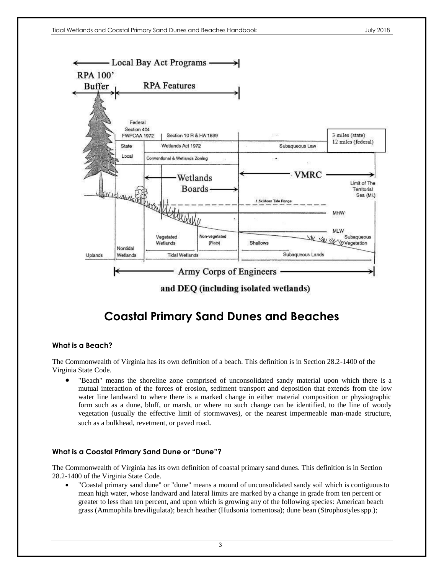

and DEQ (including isolated wetlands)

## **Coastal Primary Sand Dunes and Beaches**

#### **What is a Beach?**

The Commonwealth of Virginia has its own definition of a beach. This definition is in Section 28.2-1400 of the Virginia State Code.

 "Beach" means the shoreline zone comprised of unconsolidated sandy material upon which there is a mutual interaction of the forces of erosion, sediment transport and deposition that extends from the low water line landward to where there is a marked change in either material composition or physiographic form such as a dune, bluff, or marsh, or where no such change can be identified, to the line of woody vegetation (usually the effective limit of stormwaves), or the nearest impermeable man-made structure, such as a bulkhead, revetment, or paved road.

#### **What is a Coastal Primary Sand Dune or "Dune"?**

The Commonwealth of Virginia has its own definition of coastal primary sand dunes. This definition is in Section 28.2-1400 of the Virginia State Code.

 "Coastal primary sand dune" or "dune" means a mound of unconsolidated sandy soil which is contiguousto mean high water, whose landward and lateral limits are marked by a change in grade from ten percent or greater to less than ten percent, and upon which is growing any of the following species: American beach grass (Ammophila breviligulata); beach heather (Hudsonia tomentosa); dune bean (Strophostylesspp.);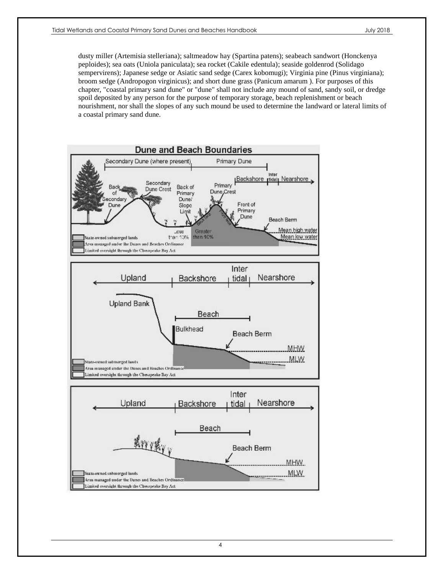dusty miller (Artemisia stelleriana); saltmeadow hay (Spartina patens); seabeach sandwort (Honckenya peploides); sea oats (Uniola paniculata); sea rocket (Cakile edentula); seaside goldenrod (Solidago sempervirens); Japanese sedge or Asiatic sand sedge (Carex kobomugi); Virginia pine (Pinus virginiana); broom sedge (Andropogon virginicus); and short dune grass (Panicum amarum ). For purposes of this chapter, "coastal primary sand dune" or "dune" shall not include any mound of sand, sandy soil, or dredge spoil deposited by any person for the purpose of temporary storage, beach replenishment or beach nourishment, nor shall the slopes of any such mound be used to determine the landward or lateral limits of a coastal primary sand dune.

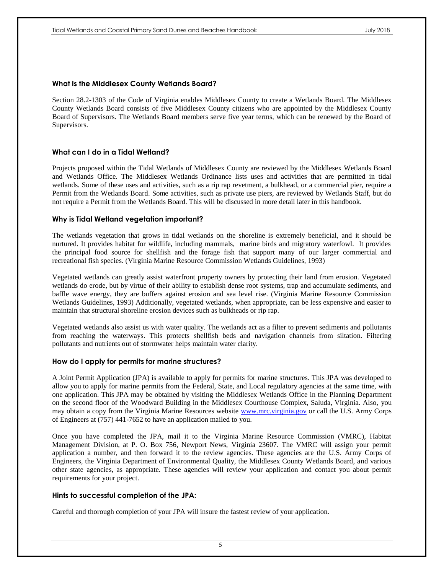#### **What is the Middlesex County Wetlands Board?**

Section 28.2-1303 of the Code of Virginia enables Middlesex County to create a Wetlands Board. The Middlesex County Wetlands Board consists of five Middlesex County citizens who are appointed by the Middlesex County Board of Supervisors. The Wetlands Board members serve five year terms, which can be renewed by the Board of Supervisors.

#### **What can I do in a Tidal Wetland?**

Projects proposed within the Tidal Wetlands of Middlesex County are reviewed by the Middlesex Wetlands Board and Wetlands Office. The Middlesex Wetlands Ordinance lists uses and activities that are permitted in tidal wetlands. Some of these uses and activities, such as a rip rap revetment, a bulkhead, or a commercial pier, require a Permit from the Wetlands Board. Some activities, such as private use piers, are reviewed by Wetlands Staff, but do not require a Permit from the Wetlands Board. This will be discussed in more detail later in this handbook.

#### **Why is Tidal Wetland vegetation important?**

The wetlands vegetation that grows in tidal wetlands on the shoreline is extremely beneficial, and it should be nurtured. It provides habitat for wildlife, including mammals, marine birds and migratory waterfowl. It provides the principal food source for shellfish and the forage fish that support many of our larger commercial and recreational fish species. (Virginia Marine Resource Commission Wetlands Guidelines, 1993)

Vegetated wetlands can greatly assist waterfront property owners by protecting their land from erosion. Vegetated wetlands do erode, but by virtue of their ability to establish dense root systems, trap and accumulate sediments, and baffle wave energy, they are buffers against erosion and sea level rise. (Virginia Marine Resource Commission Wetlands Guidelines, 1993) Additionally, vegetated wetlands, when appropriate, can be less expensive and easier to maintain that structural shoreline erosion devices such as bulkheads or rip rap.

Vegetated wetlands also assist us with water quality. The wetlands act as a filter to prevent sediments and pollutants from reaching the waterways. This protects shellfish beds and navigation channels from siltation. Filtering pollutants and nutrients out of stormwater helps maintain water clarity.

#### **How do I apply for permits for marine structures?**

A Joint Permit Application (JPA) is available to apply for permits for marine structures. This JPA was developed to allow you to apply for marine permits from the Federal, State, and Local regulatory agencies at the same time, with one application. This JPA may be obtained by visiting the Middlesex Wetlands Office in the Planning Department on the second floor of the Woodward Building in the Middlesex Courthouse Complex, Saluda, Virginia. Also, you may obtain a copy from the Virginia Marine Resources website [www.mrc.virginia.gov](http://www.mrc.virginia.gov/) or call the U.S. Army Corps of Engineers at (757) 441-7652 to have an application mailed to you.

Once you have completed the JPA, mail it to the Virginia Marine Resource Commission (VMRC), Habitat Management Division, at P. O. Box 756, Newport News, Virginia 23607. The VMRC will assign your permit application a number, and then forward it to the review agencies. These agencies are the U.S. Army Corps of Engineers, the Virginia Department of Environmental Quality, the Middlesex County Wetlands Board, and various other state agencies, as appropriate. These agencies will review your application and contact you about permit requirements for your project.

#### **Hints to successful completion of the JPA:**

Careful and thorough completion of your JPA will insure the fastest review of your application.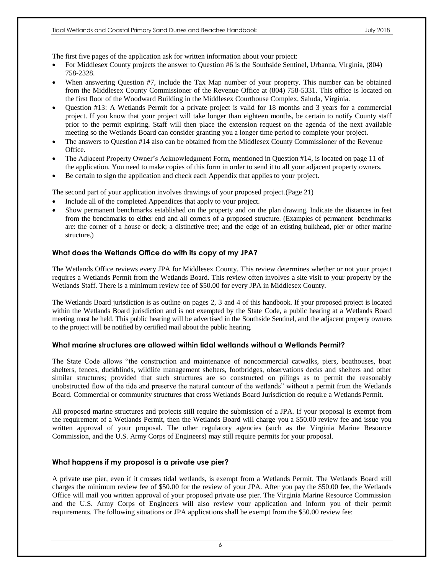The first five pages of the application ask for written information about your project:

- For Middlesex County projects the answer to Question #6 is the Southside Sentinel, Urbanna, Virginia, (804) 758-2328.
- When answering Question #7, include the Tax Map number of your property. This number can be obtained from the Middlesex County Commissioner of the Revenue Office at (804) 758-5331. This office is located on the first floor of the Woodward Building in the Middlesex Courthouse Complex, Saluda, Virginia.
- Question #13: A Wetlands Permit for a private project is valid for 18 months and 3 years for a commercial project. If you know that your project will take longer than eighteen months, be certain to notify County staff prior to the permit expiring. Staff will then place the extension request on the agenda of the next available meeting so the Wetlands Board can consider granting you a longer time period to complete your project.
- The answers to Question #14 also can be obtained from the Middlesex County Commissioner of the Revenue Office.
- The Adjacent Property Owner's Acknowledgment Form, mentioned in Question #14, is located on page 11 of the application. You need to make copies of this form in order to send it to all your adjacent property owners.
- Be certain to sign the application and check each Appendix that applies to your project.

The second part of your application involves drawings of your proposed project.(Page 21)

- Include all of the completed Appendices that apply to your project.
- Show permanent benchmarks established on the property and on the plan drawing. Indicate the distances in feet from the benchmarks to either end and all corners of a proposed structure. (Examples of permanent benchmarks are: the corner of a house or deck; a distinctive tree; and the edge of an existing bulkhead, pier or other marine structure.)

#### **What does the Wetlands Office do with its copy of my JPA?**

The Wetlands Office reviews every JPA for Middlesex County. This review determines whether or not your project requires a Wetlands Permit from the Wetlands Board. This review often involves a site visit to your property by the Wetlands Staff. There is a minimum review fee of \$50.00 for every JPA in Middlesex County.

The Wetlands Board jurisdiction is as outline on pages 2, 3 and 4 of this handbook. If your proposed project is located within the Wetlands Board jurisdiction and is not exempted by the State Code, a public hearing at a Wetlands Board meeting must be held. This public hearing will be advertised in the Southside Sentinel, and the adjacent property owners to the project will be notified by certified mail about the public hearing.

#### **What marine structures are allowed within tidal wetlands without a Wetlands Permit?**

The State Code allows "the construction and maintenance of noncommercial catwalks, piers, boathouses, boat shelters, fences, duckblinds, wildlife management shelters, footbridges, observations decks and shelters and other similar structures; provided that such structures are so constructed on pilings as to permit the reasonably unobstructed flow of the tide and preserve the natural contour of the wetlands" without a permit from the Wetlands Board. Commercial or community structures that cross Wetlands Board Jurisdiction do require a Wetlands Permit.

All proposed marine structures and projects still require the submission of a JPA. If your proposal is exempt from the requirement of a Wetlands Permit, then the Wetlands Board will charge you a \$50.00 review fee and issue you written approval of your proposal. The other regulatory agencies (such as the Virginia Marine Resource Commission, and the U.S. Army Corps of Engineers) may still require permits for your proposal.

#### **What happens if my proposal is a private use pier?**

A private use pier, even if it crosses tidal wetlands, is exempt from a Wetlands Permit. The Wetlands Board still charges the minimum review fee of \$50.00 for the review of your JPA. After you pay the \$50.00 fee, the Wetlands Office will mail you written approval of your proposed private use pier. The Virginia Marine Resource Commission and the U.S. Army Corps of Engineers will also review your application and inform you of their permit requirements. The following situations or JPA applications shall be exempt from the \$50.00 review fee: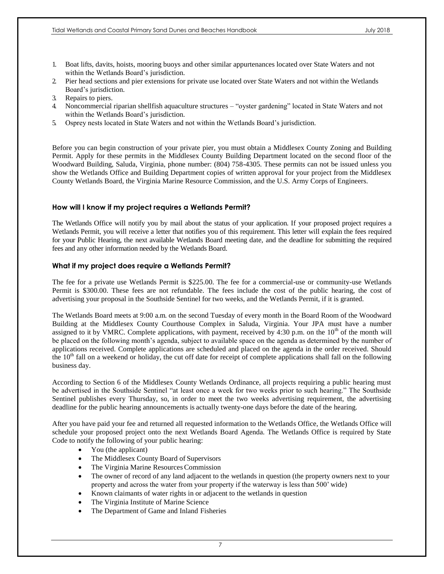- 1. Boat lifts, davits, hoists, mooring buoys and other similar appurtenances located over State Waters and not within the Wetlands Board's jurisdiction.
- 2. Pier head sections and pier extensions for private use located over State Waters and not within the Wetlands Board's jurisdiction.
- 3. Repairs to piers.
- 4. Noncommercial riparian shellfish aquaculture structures "oyster gardening" located in State Waters and not within the Wetlands Board's jurisdiction.
- 5. Osprey nests located in State Waters and not within the Wetlands Board's jurisdiction.

Before you can begin construction of your private pier, you must obtain a Middlesex County Zoning and Building Permit. Apply for these permits in the Middlesex County Building Department located on the second floor of the Woodward Building, Saluda, Virginia, phone number: (804) 758-4305. These permits can not be issued unless you show the Wetlands Office and Building Department copies of written approval for your project from the Middlesex County Wetlands Board, the Virginia Marine Resource Commission, and the U.S. Army Corps of Engineers.

#### **How will I know if my project requires a Wetlands Permit?**

The Wetlands Office will notify you by mail about the status of your application. If your proposed project requires a Wetlands Permit, you will receive a letter that notifies you of this requirement. This letter will explain the fees required for your Public Hearing, the next available Wetlands Board meeting date, and the deadline for submitting the required fees and any other information needed by the Wetlands Board.

#### **What if my project does require a Wetlands Permit?**

The fee for a private use Wetlands Permit is \$225.00. The fee for a commercial-use or community-use Wetlands Permit is \$300.00. These fees are not refundable. The fees include the cost of the public hearing, the cost of advertising your proposal in the Southside Sentinel for two weeks, and the Wetlands Permit, if it is granted.

The Wetlands Board meets at 9:00 a.m. on the second Tuesday of every month in the Board Room of the Woodward Building at the Middlesex County Courthouse Complex in Saluda, Virginia. Your JPA must have a number assigned to it by VMRC. Complete applications, with payment, received by  $4:30$  p.m. on the  $10<sup>th</sup>$  of the month will be placed on the following month's agenda, subject to available space on the agenda as determined by the number of applications received. Complete applications are scheduled and placed on the agenda in the order received. Should the  $10<sup>th</sup>$  fall on a weekend or holiday, the cut off date for receipt of complete applications shall fall on the following business day.

According to Section 6 of the Middlesex County Wetlands Ordinance, all projects requiring a public hearing must be advertised in the Southside Sentinel "at least once a week for two weeks prior to such hearing." The Southside Sentinel publishes every Thursday, so, in order to meet the two weeks advertising requirement, the advertising deadline for the public hearing announcements is actually twenty-one days before the date of the hearing.

After you have paid your fee and returned all requested information to the Wetlands Office, the Wetlands Office will schedule your proposed project onto the next Wetlands Board Agenda. The Wetlands Office is required by State Code to notify the following of your public hearing:

- You (the applicant)
- The Middlesex County Board of Supervisors
- The Virginia Marine Resources Commission
- The owner of record of any land adjacent to the wetlands in question (the property owners next to your property and across the water from your property if the waterway is less than 500' wide)
- Known claimants of water rights in or adjacent to the wetlands in question
- The Virginia Institute of Marine Science
- The Department of Game and Inland Fisheries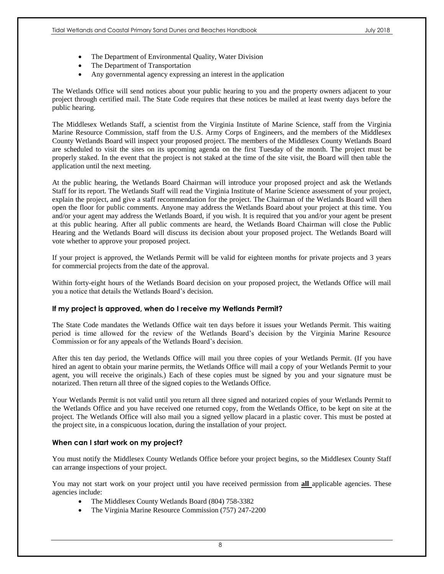- The Department of Environmental Quality, Water Division
- The Department of Transportation
- Any governmental agency expressing an interest in the application

The Wetlands Office will send notices about your public hearing to you and the property owners adjacent to your project through certified mail. The State Code requires that these notices be mailed at least twenty days before the public hearing.

The Middlesex Wetlands Staff, a scientist from the Virginia Institute of Marine Science, staff from the Virginia Marine Resource Commission, staff from the U.S. Army Corps of Engineers, and the members of the Middlesex County Wetlands Board will inspect your proposed project. The members of the Middlesex County Wetlands Board are scheduled to visit the sites on its upcoming agenda on the first Tuesday of the month. The project must be properly staked. In the event that the project is not staked at the time of the site visit, the Board will then table the application until the next meeting.

At the public hearing, the Wetlands Board Chairman will introduce your proposed project and ask the Wetlands Staff for its report. The Wetlands Staff will read the Virginia Institute of Marine Science assessment of your project, explain the project, and give a staff recommendation for the project. The Chairman of the Wetlands Board will then open the floor for public comments. Anyone may address the Wetlands Board about your project at this time. You and/or your agent may address the Wetlands Board, if you wish. It is required that you and/or your agent be present at this public hearing. After all public comments are heard, the Wetlands Board Chairman will close the Public Hearing and the Wetlands Board will discuss its decision about your proposed project. The Wetlands Board will vote whether to approve your proposed project.

If your project is approved, the Wetlands Permit will be valid for eighteen months for private projects and 3 years for commercial projects from the date of the approval.

Within forty-eight hours of the Wetlands Board decision on your proposed project, the Wetlands Office will mail you a notice that details the Wetlands Board's decision.

#### **If my project is approved, when do I receive my Wetlands Permit?**

The State Code mandates the Wetlands Office wait ten days before it issues your Wetlands Permit. This waiting period is time allowed for the review of the Wetlands Board's decision by the Virginia Marine Resource Commission or for any appeals of the Wetlands Board's decision.

After this ten day period, the Wetlands Office will mail you three copies of your Wetlands Permit. (If you have hired an agent to obtain your marine permits, the Wetlands Office will mail a copy of your Wetlands Permit to your agent, you will receive the originals.) Each of these copies must be signed by you and your signature must be notarized. Then return all three of the signed copies to the Wetlands Office.

Your Wetlands Permit is not valid until you return all three signed and notarized copies of your Wetlands Permit to the Wetlands Office and you have received one returned copy, from the Wetlands Office, to be kept on site at the project. The Wetlands Office will also mail you a signed yellow placard in a plastic cover. This must be posted at the project site, in a conspicuous location, during the installation of your project.

#### **When can I start work on my project?**

You must notify the Middlesex County Wetlands Office before your project begins, so the Middlesex County Staff can arrange inspections of your project.

You may not start work on your project until you have received permission from **all** applicable agencies. These agencies include:

- The Middlesex County Wetlands Board (804) 758-3382
- The Virginia Marine Resource Commission (757) 247-2200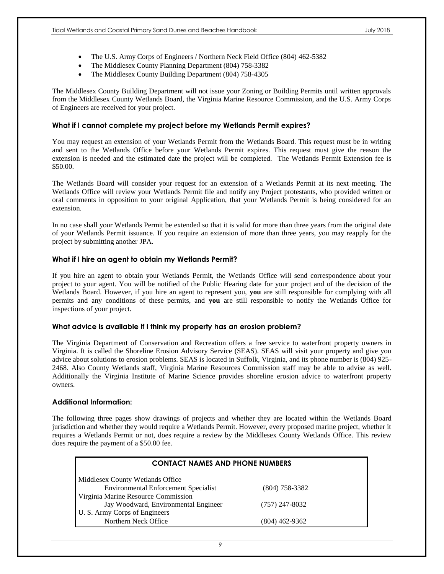- The U.S. Army Corps of Engineers / Northern Neck Field Office (804) 462-5382
- The Middlesex County Planning Department (804) 758-3382
- The Middlesex County Building Department (804) 758-4305

The Middlesex County Building Department will not issue your Zoning or Building Permits until written approvals from the Middlesex County Wetlands Board, the Virginia Marine Resource Commission, and the U.S. Army Corps of Engineers are received for your project.

#### **What if I cannot complete my project before my Wetlands Permit expires?**

You may request an extension of your Wetlands Permit from the Wetlands Board. This request must be in writing and sent to the Wetlands Office before your Wetlands Permit expires. This request must give the reason the extension is needed and the estimated date the project will be completed. The Wetlands Permit Extension fee is \$50.00.

The Wetlands Board will consider your request for an extension of a Wetlands Permit at its next meeting. The Wetlands Office will review your Wetlands Permit file and notify any Project protestants, who provided written or oral comments in opposition to your original Application, that your Wetlands Permit is being considered for an extension.

In no case shall your Wetlands Permit be extended so that it is valid for more than three years from the original date of your Wetlands Permit issuance. If you require an extension of more than three years, you may reapply for the project by submitting another JPA.

#### **What if I hire an agent to obtain my Wetlands Permit?**

If you hire an agent to obtain your Wetlands Permit, the Wetlands Office will send correspondence about your project to your agent. You will be notified of the Public Hearing date for your project and of the decision of the Wetlands Board. However, if you hire an agent to represent you, **you** are still responsible for complying with all permits and any conditions of these permits, and **you** are still responsible to notify the Wetlands Office for inspections of your project.

#### **What advice is available if I think my property has an erosion problem?**

The Virginia Department of Conservation and Recreation offers a free service to waterfront property owners in Virginia. It is called the Shoreline Erosion Advisory Service (SEAS). SEAS will visit your property and give you advice about solutions to erosion problems. SEAS is located in Suffolk, Virginia, and its phone number is (804) 925- 2468. Also County Wetlands staff, Virginia Marine Resources Commission staff may be able to advise as well. Additionally the Virginia Institute of Marine Science provides shoreline erosion advice to waterfront property owners.

#### **Additional Information:**

The following three pages show drawings of projects and whether they are located within the Wetlands Board jurisdiction and whether they would require a Wetlands Permit. However, every proposed marine project, whether it requires a Wetlands Permit or not, does require a review by the Middlesex County Wetlands Office. This review does require the payment of a \$50.00 fee.

| <b>CONTACT NAMES AND PHONE NUMBERS</b>      |                  |  |  |
|---------------------------------------------|------------------|--|--|
| Middlesex County Wetlands Office            |                  |  |  |
| <b>Environmental Enforcement Specialist</b> | $(804)$ 758-3382 |  |  |
| Virginia Marine Resource Commission         |                  |  |  |
| Jay Woodward, Environmental Engineer        | $(757)$ 247-8032 |  |  |
| U. S. Army Corps of Engineers               |                  |  |  |
| Northern Neck Office                        | (804) 462-9362   |  |  |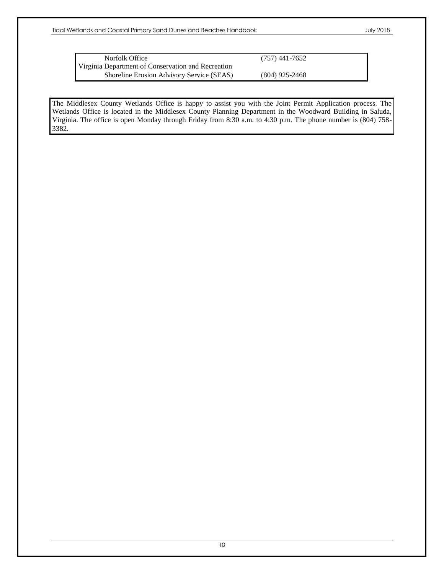| Norfolk Office                                     | $(757)$ 441-7652 |
|----------------------------------------------------|------------------|
| Virginia Department of Conservation and Recreation |                  |
| Shoreline Erosion Advisory Service (SEAS)          | $(804)$ 925-2468 |

The Middlesex County Wetlands Office is happy to assist you with the Joint Permit Application process. The Wetlands Office is located in the Middlesex County Planning Department in the Woodward Building in Saluda, Virginia. The office is open Monday through Friday from 8:30 a.m. to 4:30 p.m. The phone number is (804) 758- 3382.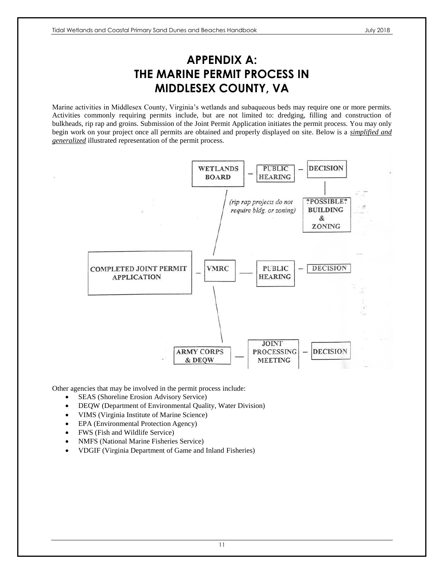## **APPENDIX A: THE MARINE PERMIT PROCESS IN MIDDLESEX COUNTY, VA**

Marine activities in Middlesex County, Virginia's wetlands and subaqueous beds may require one or more permits. Activities commonly requiring permits include, but are not limited to: dredging, filling and construction of bulkheads, rip rap and groins. Submission of the Joint Permit Application initiates the permit process. You may only begin work on your project once all permits are obtained and properly displayed on site. Below is a *simplified and generalized* illustrated representation of the permit process.



Other agencies that may be involved in the permit process include:

- SEAS (Shoreline Erosion Advisory Service)
- DEQW (Department of Environmental Quality, Water Division)
- VIMS (Virginia Institute of Marine Science)
- EPA (Environmental Protection Agency)
- FWS (Fish and Wildlife Service)
- NMFS (National Marine Fisheries Service)
- VDGIF (Virginia Department of Game and Inland Fisheries)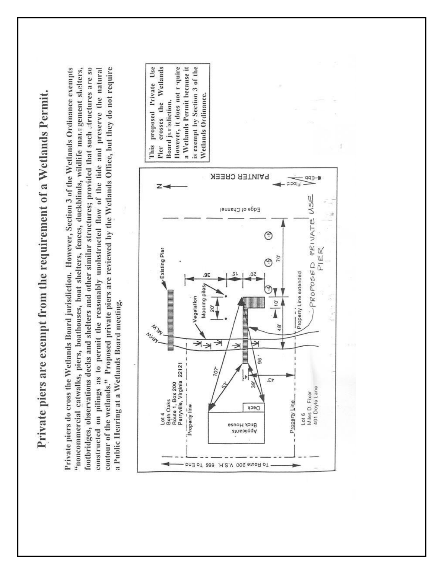| $\sim$                             |
|------------------------------------|
|                                    |
|                                    |
|                                    |
| i                                  |
| į                                  |
|                                    |
|                                    |
| ;<br>;                             |
| The main of the state and the<br>l |
|                                    |
|                                    |
|                                    |

Private piers do cross the Wetlands Board jurisdiction. However, Section 3 of the Wetlands Ordinance exempts contour of the wetlands." Proposed private piers are reviewed by the Wetlands Office, but they do not require footbridges, observations decks and shelters and other similar structures; provided that such atructures are so constructed on pilings as to permit the reasonably unobstructed flow of the tide and preserve the natural "noncommercial catwalks, piers, boathouses, boat shelters, fences, duckblinds, wildlife management shelters, a Public Hearing at a Wetlands Board meeting.